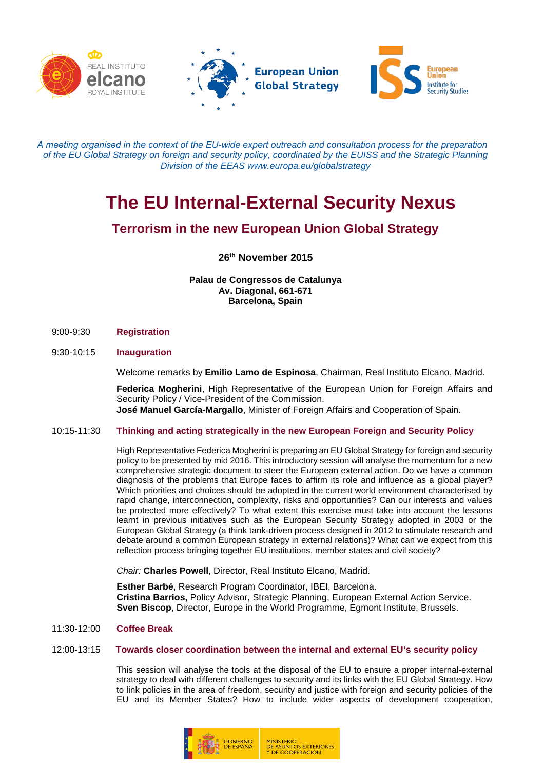





*Α meeting organised in the context of the EU-wide expert outreach and consultation process for the preparation of the EU Global Strategy on foreign and security policy, coordinated by the EUISS and the Strategic Planning Division of the EEAS www.europa.eu/globalstrategy*

# **The EU Internal-External Security Nexus**

# **Terrorism in the new European Union Global Strategy**

**26th November 2015**

**Palau de Congressos de Catalunya Av. Diagonal, 661-671 Barcelona, Spain**

9:00-9:30 **Registration**

## 9:30-10:15 **Inauguration**

Welcome remarks by **Emilio Lamo de Espinosa**, Chairman, Real Instituto Elcano, Madrid.

**Federica Mogherini**, High Representative of the European Union for Foreign Affairs and Security Policy / Vice-President of the Commission. **José Manuel García-Margallo**, Minister of Foreign Affairs and Cooperation of Spain.

## 10:15-11:30 **Thinking and acting strategically in the new European Foreign and Security Policy**

High Representative Federica Mogherini is preparing an EU Global Strategy for foreign and security policy to be presented by mid 2016. This introductory session will analyse the momentum for a new comprehensive strategic document to steer the European external action. Do we have a common diagnosis of the problems that Europe faces to affirm its role and influence as a global player? Which priorities and choices should be adopted in the current world environment characterised by rapid change, interconnection, complexity, risks and opportunities? Can our interests and values be protected more effectively? To what extent this exercise must take into account the lessons learnt in previous initiatives such as the European Security Strategy adopted in 2003 or the European Global Strategy (a think tank-driven process designed in 2012 to stimulate research and debate around a common European strategy in external relations)? What can we expect from this reflection process bringing together EU institutions, member states and civil society?

*Chair:* **Charles Powell**, Director, Real Instituto Elcano, Madrid.

**Esther Barbé**, Research Program Coordinator, IBEI, Barcelona. **Cristina Barrios,** Policy Advisor, Strategic Planning, European External Action Service. **Sven Biscop**, Director, Europe in the World Programme, Egmont Institute, Brussels.

#### 11:30-12:00 **Coffee Break**

#### 12:00-13:15 **Towards closer coordination between the internal and external EU's security policy**

This session will analyse the tools at the disposal of the EU to ensure a proper internal-external strategy to deal with different challenges to security and its links with the EU Global Strategy. How to link policies in the area of freedom, security and justice with foreign and security policies of the EU and its Member States? How to include wider aspects of development cooperation,